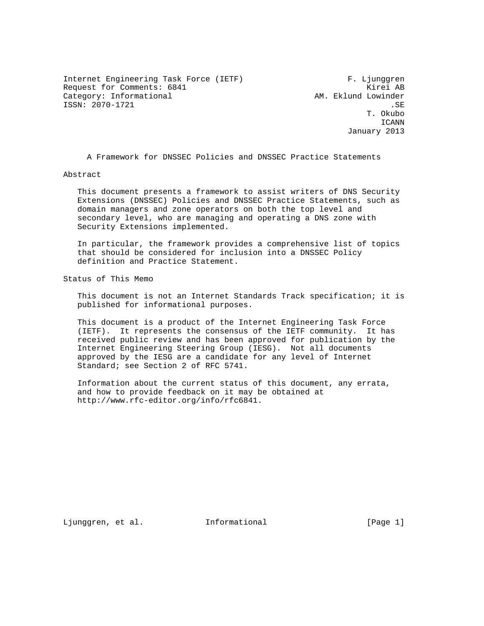Internet Engineering Task Force (IETF) F. Ljunggren Request for Comments: 6841 Kirei AB Category: Informational  $\qquad \qquad \text{AM.}$  Eklund Lowinder ISSN: 2070–1721 .SE .<br>T. Okubo .SE .

 T. Okubo ICANN January 2013

A Framework for DNSSEC Policies and DNSSEC Practice Statements

Abstract

 This document presents a framework to assist writers of DNS Security Extensions (DNSSEC) Policies and DNSSEC Practice Statements, such as domain managers and zone operators on both the top level and secondary level, who are managing and operating a DNS zone with Security Extensions implemented.

 In particular, the framework provides a comprehensive list of topics that should be considered for inclusion into a DNSSEC Policy definition and Practice Statement.

Status of This Memo

 This document is not an Internet Standards Track specification; it is published for informational purposes.

 This document is a product of the Internet Engineering Task Force (IETF). It represents the consensus of the IETF community. It has received public review and has been approved for publication by the Internet Engineering Steering Group (IESG). Not all documents approved by the IESG are a candidate for any level of Internet Standard; see Section 2 of RFC 5741.

 Information about the current status of this document, any errata, and how to provide feedback on it may be obtained at http://www.rfc-editor.org/info/rfc6841.

Ljunggren, et al. Informational [Page 1]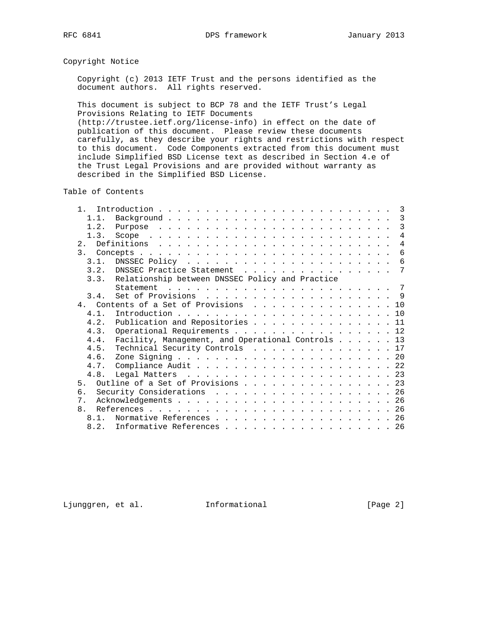# Copyright Notice

 Copyright (c) 2013 IETF Trust and the persons identified as the document authors. All rights reserved.

 This document is subject to BCP 78 and the IETF Trust's Legal Provisions Relating to IETF Documents (http://trustee.ietf.org/license-info) in effect on the date of

 publication of this document. Please review these documents carefully, as they describe your rights and restrictions with respect to this document. Code Components extracted from this document must include Simplified BSD License text as described in Section 4.e of the Trust Legal Provisions and are provided without warranty as described in the Simplified BSD License.

Table of Contents

| 1.1. |                                                                                                              |
|------|--------------------------------------------------------------------------------------------------------------|
| 1.2. |                                                                                                              |
| 1.3. | $\overline{4}$                                                                                               |
|      | $\overline{4}$                                                                                               |
|      | 6                                                                                                            |
| 3.1. |                                                                                                              |
|      | 3.2. DNSSEC Practice Statement 7                                                                             |
|      | 3.3. Relationship between DNSSEC Policy and Practice                                                         |
|      | Statement $\ldots$ $\ldots$ $\ldots$ $\ldots$ $\ldots$ $\ldots$ $\ldots$ $\ldots$ $\ldots$ $\ldots$ $\ldots$ |
| 3.4. |                                                                                                              |
|      | 4. Contents of a Set of Provisions 10                                                                        |
| 4.1  |                                                                                                              |
| 4.2. | Publication and Repositories 11                                                                              |
| 4.3. | Operational Requirements 12                                                                                  |
| 4.4. | Facility, Management, and Operational Controls 13                                                            |
| 4.5. | Technical Security Controls 17                                                                               |
| 4.6. |                                                                                                              |
|      |                                                                                                              |
| 4.8. |                                                                                                              |
|      | Outline of a Set of Provisions 23                                                                            |
| б.   | Security Considerations 26                                                                                   |
|      |                                                                                                              |
|      |                                                                                                              |
|      | 8.1. Normative References 26                                                                                 |
|      | 8.2. Informative References 26                                                                               |
|      | $\mathbf{1}$<br>5 <sub>1</sub><br>7.<br>8 <sub>1</sub>                                                       |

Ljunggren, et al. 1nformational 1999 [Page 2]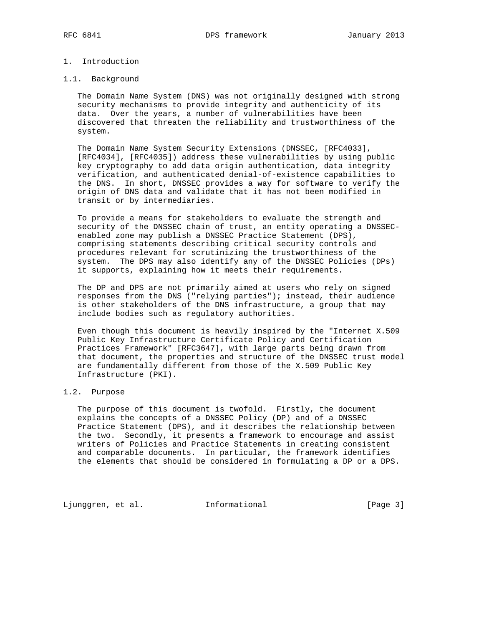# 1. Introduction

#### 1.1. Background

 The Domain Name System (DNS) was not originally designed with strong security mechanisms to provide integrity and authenticity of its data. Over the years, a number of vulnerabilities have been discovered that threaten the reliability and trustworthiness of the system.

 The Domain Name System Security Extensions (DNSSEC, [RFC4033], [RFC4034], [RFC4035]) address these vulnerabilities by using public key cryptography to add data origin authentication, data integrity verification, and authenticated denial-of-existence capabilities to the DNS. In short, DNSSEC provides a way for software to verify the origin of DNS data and validate that it has not been modified in transit or by intermediaries.

 To provide a means for stakeholders to evaluate the strength and security of the DNSSEC chain of trust, an entity operating a DNSSEC enabled zone may publish a DNSSEC Practice Statement (DPS), comprising statements describing critical security controls and procedures relevant for scrutinizing the trustworthiness of the system. The DPS may also identify any of the DNSSEC Policies (DPs) it supports, explaining how it meets their requirements.

 The DP and DPS are not primarily aimed at users who rely on signed responses from the DNS ("relying parties"); instead, their audience is other stakeholders of the DNS infrastructure, a group that may include bodies such as regulatory authorities.

 Even though this document is heavily inspired by the "Internet X.509 Public Key Infrastructure Certificate Policy and Certification Practices Framework" [RFC3647], with large parts being drawn from that document, the properties and structure of the DNSSEC trust model are fundamentally different from those of the X.509 Public Key Infrastructure (PKI).

## 1.2. Purpose

 The purpose of this document is twofold. Firstly, the document explains the concepts of a DNSSEC Policy (DP) and of a DNSSEC Practice Statement (DPS), and it describes the relationship between the two. Secondly, it presents a framework to encourage and assist writers of Policies and Practice Statements in creating consistent and comparable documents. In particular, the framework identifies the elements that should be considered in formulating a DP or a DPS.

Ljunggren, et al. 1nformational 1999 [Page 3]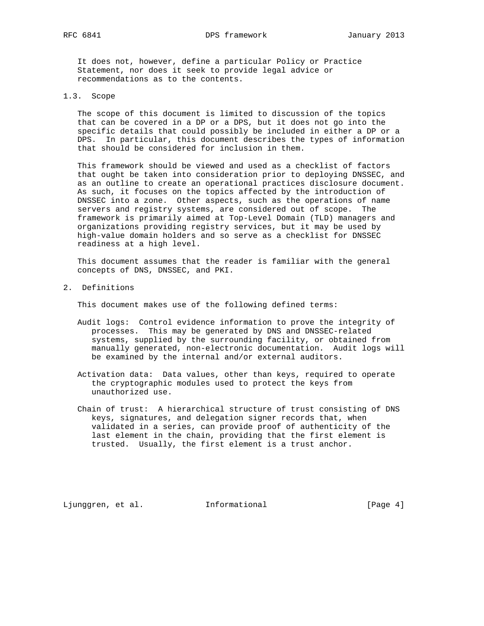It does not, however, define a particular Policy or Practice Statement, nor does it seek to provide legal advice or recommendations as to the contents.

### 1.3. Scope

 The scope of this document is limited to discussion of the topics that can be covered in a DP or a DPS, but it does not go into the specific details that could possibly be included in either a DP or a DPS. In particular, this document describes the types of information that should be considered for inclusion in them.

 This framework should be viewed and used as a checklist of factors that ought be taken into consideration prior to deploying DNSSEC, and as an outline to create an operational practices disclosure document. As such, it focuses on the topics affected by the introduction of DNSSEC into a zone. Other aspects, such as the operations of name servers and registry systems, are considered out of scope. The framework is primarily aimed at Top-Level Domain (TLD) managers and organizations providing registry services, but it may be used by high-value domain holders and so serve as a checklist for DNSSEC readiness at a high level.

 This document assumes that the reader is familiar with the general concepts of DNS, DNSSEC, and PKI.

2. Definitions

This document makes use of the following defined terms:

- Audit logs: Control evidence information to prove the integrity of processes. This may be generated by DNS and DNSSEC-related systems, supplied by the surrounding facility, or obtained from manually generated, non-electronic documentation. Audit logs will be examined by the internal and/or external auditors.
- Activation data: Data values, other than keys, required to operate the cryptographic modules used to protect the keys from unauthorized use.
- Chain of trust: A hierarchical structure of trust consisting of DNS keys, signatures, and delegation signer records that, when validated in a series, can provide proof of authenticity of the last element in the chain, providing that the first element is trusted. Usually, the first element is a trust anchor.

Ljunggren, et al. Informational [Page 4]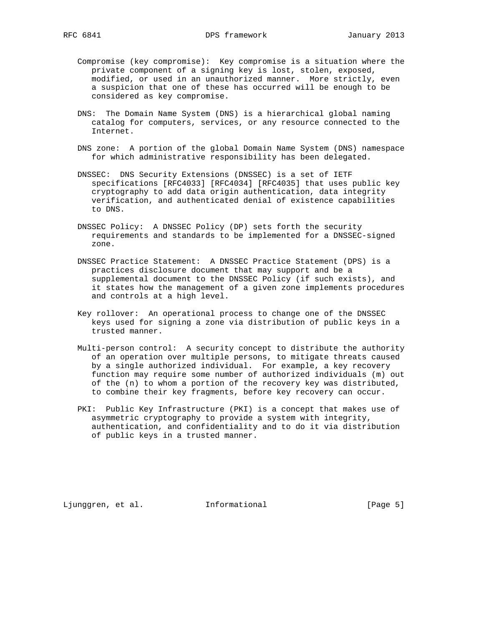- Compromise (key compromise): Key compromise is a situation where the private component of a signing key is lost, stolen, exposed, modified, or used in an unauthorized manner. More strictly, even a suspicion that one of these has occurred will be enough to be considered as key compromise.
- DNS: The Domain Name System (DNS) is a hierarchical global naming catalog for computers, services, or any resource connected to the Internet.
- DNS zone: A portion of the global Domain Name System (DNS) namespace for which administrative responsibility has been delegated.
- DNSSEC: DNS Security Extensions (DNSSEC) is a set of IETF specifications [RFC4033] [RFC4034] [RFC4035] that uses public key cryptography to add data origin authentication, data integrity verification, and authenticated denial of existence capabilities to DNS.
- DNSSEC Policy: A DNSSEC Policy (DP) sets forth the security requirements and standards to be implemented for a DNSSEC-signed zone.
- DNSSEC Practice Statement: A DNSSEC Practice Statement (DPS) is a practices disclosure document that may support and be a supplemental document to the DNSSEC Policy (if such exists), and it states how the management of a given zone implements procedures and controls at a high level.
- Key rollover: An operational process to change one of the DNSSEC keys used for signing a zone via distribution of public keys in a trusted manner.
- Multi-person control: A security concept to distribute the authority of an operation over multiple persons, to mitigate threats caused by a single authorized individual. For example, a key recovery function may require some number of authorized individuals (m) out of the (n) to whom a portion of the recovery key was distributed, to combine their key fragments, before key recovery can occur.
- PKI: Public Key Infrastructure (PKI) is a concept that makes use of asymmetric cryptography to provide a system with integrity, authentication, and confidentiality and to do it via distribution of public keys in a trusted manner.

Ljunggren, et al. Informational [Page 5]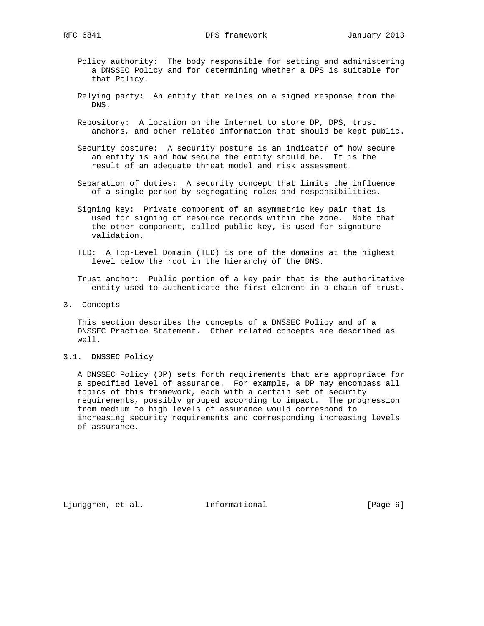- Policy authority: The body responsible for setting and administering a DNSSEC Policy and for determining whether a DPS is suitable for that Policy.
- Relying party: An entity that relies on a signed response from the DNS.
- Repository: A location on the Internet to store DP, DPS, trust anchors, and other related information that should be kept public.
- Security posture: A security posture is an indicator of how secure an entity is and how secure the entity should be. It is the result of an adequate threat model and risk assessment.
- Separation of duties: A security concept that limits the influence of a single person by segregating roles and responsibilities.
- Signing key: Private component of an asymmetric key pair that is used for signing of resource records within the zone. Note that the other component, called public key, is used for signature validation.
- TLD: A Top-Level Domain (TLD) is one of the domains at the highest level below the root in the hierarchy of the DNS.

 Trust anchor: Public portion of a key pair that is the authoritative entity used to authenticate the first element in a chain of trust.

3. Concepts

 This section describes the concepts of a DNSSEC Policy and of a DNSSEC Practice Statement. Other related concepts are described as well.

3.1. DNSSEC Policy

 A DNSSEC Policy (DP) sets forth requirements that are appropriate for a specified level of assurance. For example, a DP may encompass all topics of this framework, each with a certain set of security requirements, possibly grouped according to impact. The progression from medium to high levels of assurance would correspond to increasing security requirements and corresponding increasing levels of assurance.

Ljunggren, et al. 1nformational 1. [Page 6]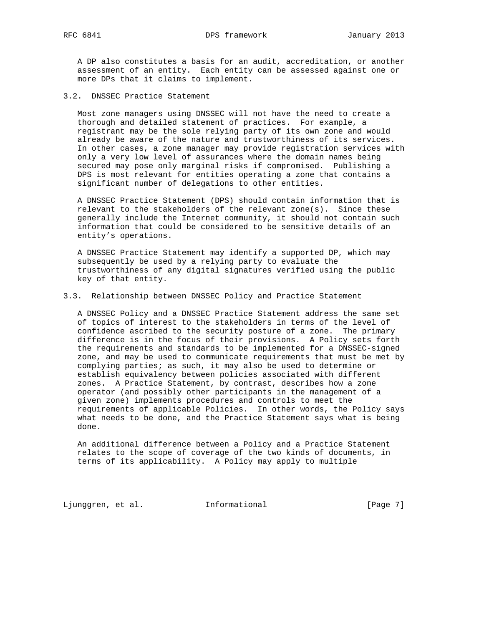A DP also constitutes a basis for an audit, accreditation, or another assessment of an entity. Each entity can be assessed against one or more DPs that it claims to implement.

3.2. DNSSEC Practice Statement

 Most zone managers using DNSSEC will not have the need to create a thorough and detailed statement of practices. For example, a registrant may be the sole relying party of its own zone and would already be aware of the nature and trustworthiness of its services. In other cases, a zone manager may provide registration services with only a very low level of assurances where the domain names being secured may pose only marginal risks if compromised. Publishing a DPS is most relevant for entities operating a zone that contains a significant number of delegations to other entities.

 A DNSSEC Practice Statement (DPS) should contain information that is relevant to the stakeholders of the relevant zone(s). Since these generally include the Internet community, it should not contain such information that could be considered to be sensitive details of an entity's operations.

 A DNSSEC Practice Statement may identify a supported DP, which may subsequently be used by a relying party to evaluate the trustworthiness of any digital signatures verified using the public key of that entity.

### 3.3. Relationship between DNSSEC Policy and Practice Statement

 A DNSSEC Policy and a DNSSEC Practice Statement address the same set of topics of interest to the stakeholders in terms of the level of confidence ascribed to the security posture of a zone. The primary difference is in the focus of their provisions. A Policy sets forth the requirements and standards to be implemented for a DNSSEC-signed zone, and may be used to communicate requirements that must be met by complying parties; as such, it may also be used to determine or establish equivalency between policies associated with different zones. A Practice Statement, by contrast, describes how a zone operator (and possibly other participants in the management of a given zone) implements procedures and controls to meet the requirements of applicable Policies. In other words, the Policy says what needs to be done, and the Practice Statement says what is being done.

 An additional difference between a Policy and a Practice Statement relates to the scope of coverage of the two kinds of documents, in terms of its applicability. A Policy may apply to multiple

Ljunggren, et al. 1nformational 1999 [Page 7]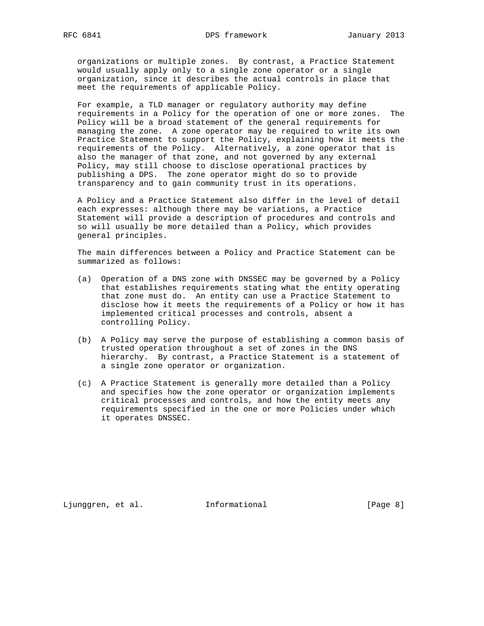organizations or multiple zones. By contrast, a Practice Statement would usually apply only to a single zone operator or a single organization, since it describes the actual controls in place that meet the requirements of applicable Policy.

 For example, a TLD manager or regulatory authority may define requirements in a Policy for the operation of one or more zones. The Policy will be a broad statement of the general requirements for managing the zone. A zone operator may be required to write its own Practice Statement to support the Policy, explaining how it meets the requirements of the Policy. Alternatively, a zone operator that is also the manager of that zone, and not governed by any external Policy, may still choose to disclose operational practices by publishing a DPS. The zone operator might do so to provide transparency and to gain community trust in its operations.

 A Policy and a Practice Statement also differ in the level of detail each expresses: although there may be variations, a Practice Statement will provide a description of procedures and controls and so will usually be more detailed than a Policy, which provides general principles.

 The main differences between a Policy and Practice Statement can be summarized as follows:

- (a) Operation of a DNS zone with DNSSEC may be governed by a Policy that establishes requirements stating what the entity operating that zone must do. An entity can use a Practice Statement to disclose how it meets the requirements of a Policy or how it has implemented critical processes and controls, absent a controlling Policy.
- (b) A Policy may serve the purpose of establishing a common basis of trusted operation throughout a set of zones in the DNS hierarchy. By contrast, a Practice Statement is a statement of a single zone operator or organization.
- (c) A Practice Statement is generally more detailed than a Policy and specifies how the zone operator or organization implements critical processes and controls, and how the entity meets any requirements specified in the one or more Policies under which it operates DNSSEC.

Ljunggren, et al. 1nformational 1. [Page 8]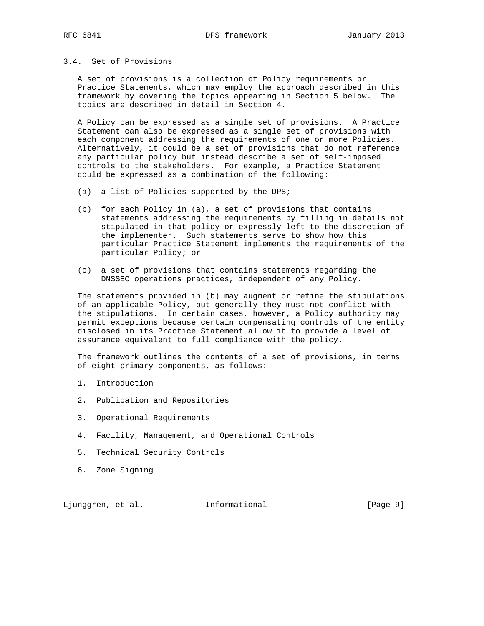## 3.4. Set of Provisions

 A set of provisions is a collection of Policy requirements or Practice Statements, which may employ the approach described in this framework by covering the topics appearing in Section 5 below. The topics are described in detail in Section 4.

 A Policy can be expressed as a single set of provisions. A Practice Statement can also be expressed as a single set of provisions with each component addressing the requirements of one or more Policies. Alternatively, it could be a set of provisions that do not reference any particular policy but instead describe a set of self-imposed controls to the stakeholders. For example, a Practice Statement could be expressed as a combination of the following:

- (a) a list of Policies supported by the DPS;
- (b) for each Policy in (a), a set of provisions that contains statements addressing the requirements by filling in details not stipulated in that policy or expressly left to the discretion of the implementer. Such statements serve to show how this particular Practice Statement implements the requirements of the particular Policy; or
- (c) a set of provisions that contains statements regarding the DNSSEC operations practices, independent of any Policy.

 The statements provided in (b) may augment or refine the stipulations of an applicable Policy, but generally they must not conflict with the stipulations. In certain cases, however, a Policy authority may permit exceptions because certain compensating controls of the entity disclosed in its Practice Statement allow it to provide a level of assurance equivalent to full compliance with the policy.

 The framework outlines the contents of a set of provisions, in terms of eight primary components, as follows:

- 1. Introduction
- 2. Publication and Repositories
- 3. Operational Requirements
- 4. Facility, Management, and Operational Controls
- 5. Technical Security Controls
- 6. Zone Signing

Ljunggren, et al. Informational [Page 9]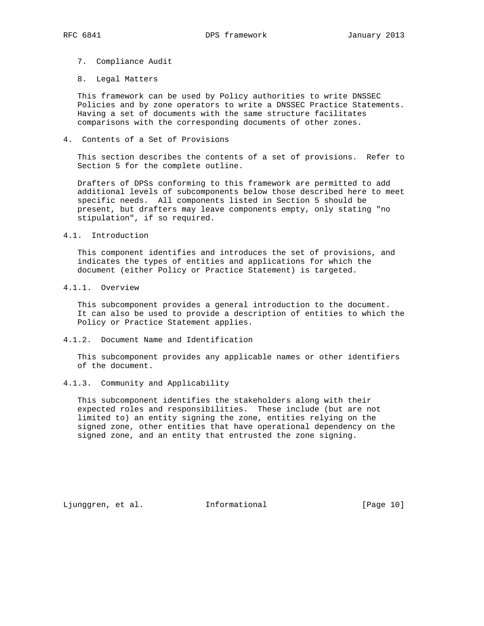- 7. Compliance Audit
- 8. Legal Matters

 This framework can be used by Policy authorities to write DNSSEC Policies and by zone operators to write a DNSSEC Practice Statements. Having a set of documents with the same structure facilitates comparisons with the corresponding documents of other zones.

4. Contents of a Set of Provisions

 This section describes the contents of a set of provisions. Refer to Section 5 for the complete outline.

 Drafters of DPSs conforming to this framework are permitted to add additional levels of subcomponents below those described here to meet specific needs. All components listed in Section 5 should be present, but drafters may leave components empty, only stating "no stipulation", if so required.

4.1. Introduction

 This component identifies and introduces the set of provisions, and indicates the types of entities and applications for which the document (either Policy or Practice Statement) is targeted.

4.1.1. Overview

 This subcomponent provides a general introduction to the document. It can also be used to provide a description of entities to which the Policy or Practice Statement applies.

4.1.2. Document Name and Identification

 This subcomponent provides any applicable names or other identifiers of the document.

4.1.3. Community and Applicability

 This subcomponent identifies the stakeholders along with their expected roles and responsibilities. These include (but are not limited to) an entity signing the zone, entities relying on the signed zone, other entities that have operational dependency on the signed zone, and an entity that entrusted the zone signing.

Ljunggren, et al. Informational [Page 10]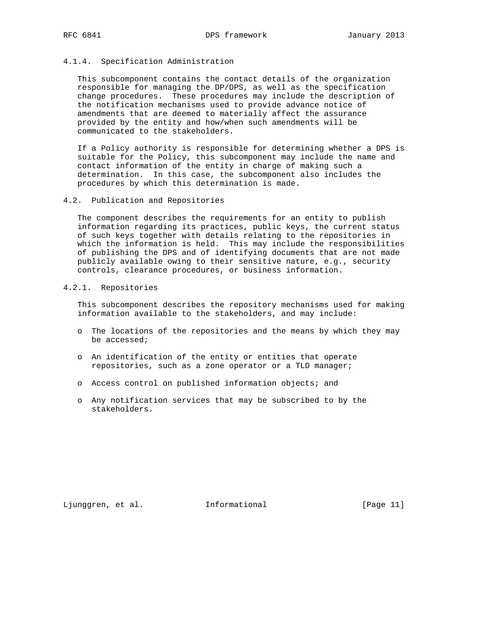## 4.1.4. Specification Administration

 This subcomponent contains the contact details of the organization responsible for managing the DP/DPS, as well as the specification change procedures. These procedures may include the description of the notification mechanisms used to provide advance notice of amendments that are deemed to materially affect the assurance provided by the entity and how/when such amendments will be communicated to the stakeholders.

 If a Policy authority is responsible for determining whether a DPS is suitable for the Policy, this subcomponent may include the name and contact information of the entity in charge of making such a determination. In this case, the subcomponent also includes the procedures by which this determination is made.

#### 4.2. Publication and Repositories

 The component describes the requirements for an entity to publish information regarding its practices, public keys, the current status of such keys together with details relating to the repositories in which the information is held. This may include the responsibilities of publishing the DPS and of identifying documents that are not made publicly available owing to their sensitive nature, e.g., security controls, clearance procedures, or business information.

# 4.2.1. Repositories

 This subcomponent describes the repository mechanisms used for making information available to the stakeholders, and may include:

- o The locations of the repositories and the means by which they may be accessed;
- o An identification of the entity or entities that operate repositories, such as a zone operator or a TLD manager;
- o Access control on published information objects; and
- o Any notification services that may be subscribed to by the stakeholders.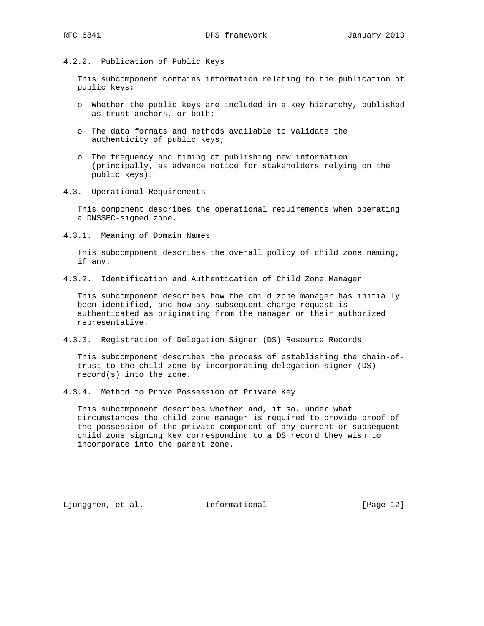# 4.2.2. Publication of Public Keys

 This subcomponent contains information relating to the publication of public keys:

- o Whether the public keys are included in a key hierarchy, published as trust anchors, or both;
- o The data formats and methods available to validate the authenticity of public keys;
- o The frequency and timing of publishing new information (principally, as advance notice for stakeholders relying on the public keys).
- 4.3. Operational Requirements

 This component describes the operational requirements when operating a DNSSEC-signed zone.

4.3.1. Meaning of Domain Names

 This subcomponent describes the overall policy of child zone naming, if any.

4.3.2. Identification and Authentication of Child Zone Manager

 This subcomponent describes how the child zone manager has initially been identified, and how any subsequent change request is authenticated as originating from the manager or their authorized representative.

4.3.3. Registration of Delegation Signer (DS) Resource Records

 This subcomponent describes the process of establishing the chain-of trust to the child zone by incorporating delegation signer (DS) record(s) into the zone.

4.3.4. Method to Prove Possession of Private Key

 This subcomponent describes whether and, if so, under what circumstances the child zone manager is required to provide proof of the possession of the private component of any current or subsequent child zone signing key corresponding to a DS record they wish to incorporate into the parent zone.

Ljunggren, et al. 1nformational 1. [Page 12]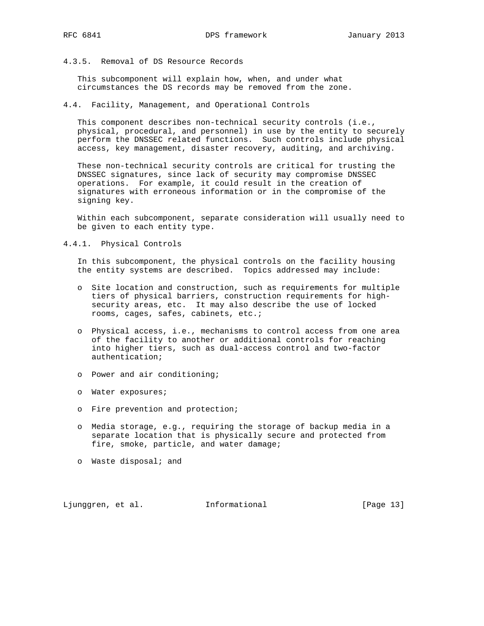4.3.5. Removal of DS Resource Records

 This subcomponent will explain how, when, and under what circumstances the DS records may be removed from the zone.

4.4. Facility, Management, and Operational Controls

 This component describes non-technical security controls (i.e., physical, procedural, and personnel) in use by the entity to securely perform the DNSSEC related functions. Such controls include physical access, key management, disaster recovery, auditing, and archiving.

 These non-technical security controls are critical for trusting the DNSSEC signatures, since lack of security may compromise DNSSEC operations. For example, it could result in the creation of signatures with erroneous information or in the compromise of the signing key.

 Within each subcomponent, separate consideration will usually need to be given to each entity type.

4.4.1. Physical Controls

 In this subcomponent, the physical controls on the facility housing the entity systems are described. Topics addressed may include:

- o Site location and construction, such as requirements for multiple tiers of physical barriers, construction requirements for high security areas, etc. It may also describe the use of locked rooms, cages, safes, cabinets, etc.;
- o Physical access, i.e., mechanisms to control access from one area of the facility to another or additional controls for reaching into higher tiers, such as dual-access control and two-factor authentication;
- o Power and air conditioning;
- o Water exposures;
- o Fire prevention and protection;
- o Media storage, e.g., requiring the storage of backup media in a separate location that is physically secure and protected from fire, smoke, particle, and water damage;
- o Waste disposal; and

Ljunggren, et al. 1nformational 1999 [Page 13]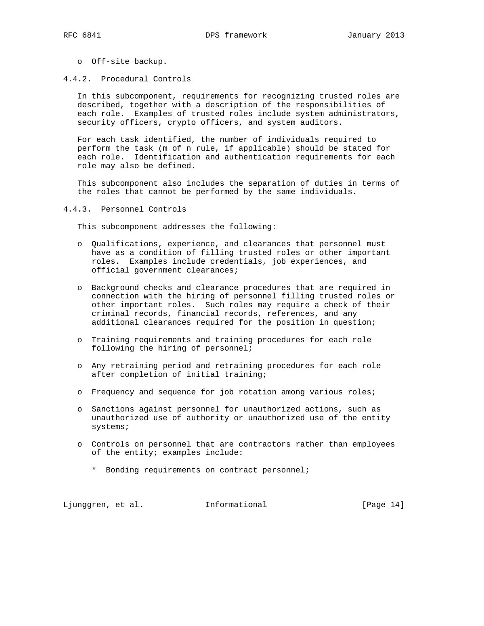- o Off-site backup.
- 4.4.2. Procedural Controls

 In this subcomponent, requirements for recognizing trusted roles are described, together with a description of the responsibilities of each role. Examples of trusted roles include system administrators, security officers, crypto officers, and system auditors.

 For each task identified, the number of individuals required to perform the task (m of n rule, if applicable) should be stated for each role. Identification and authentication requirements for each role may also be defined.

 This subcomponent also includes the separation of duties in terms of the roles that cannot be performed by the same individuals.

4.4.3. Personnel Controls

This subcomponent addresses the following:

- o Qualifications, experience, and clearances that personnel must have as a condition of filling trusted roles or other important roles. Examples include credentials, job experiences, and official government clearances;
- o Background checks and clearance procedures that are required in connection with the hiring of personnel filling trusted roles or other important roles. Such roles may require a check of their criminal records, financial records, references, and any additional clearances required for the position in question;
- o Training requirements and training procedures for each role following the hiring of personnel;
- o Any retraining period and retraining procedures for each role after completion of initial training;
- o Frequency and sequence for job rotation among various roles;
- o Sanctions against personnel for unauthorized actions, such as unauthorized use of authority or unauthorized use of the entity systems;
- o Controls on personnel that are contractors rather than employees of the entity; examples include:
	- \* Bonding requirements on contract personnel;

Ljunggren, et al. 1nformational 1999 [Page 14]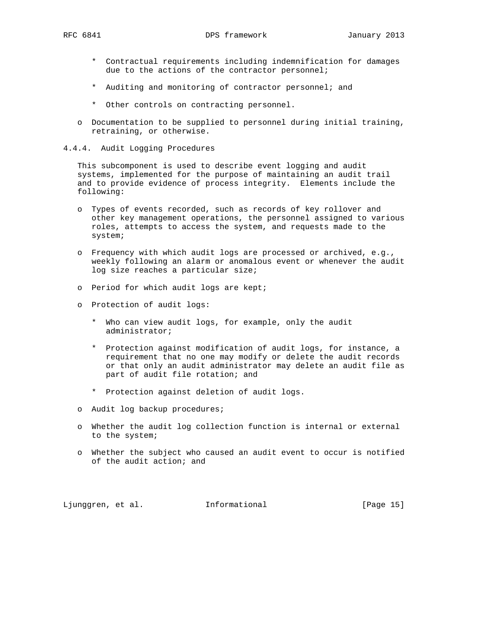- \* Contractual requirements including indemnification for damages due to the actions of the contractor personnel;
- \* Auditing and monitoring of contractor personnel; and
- \* Other controls on contracting personnel.
- o Documentation to be supplied to personnel during initial training, retraining, or otherwise.
- 4.4.4. Audit Logging Procedures

 This subcomponent is used to describe event logging and audit systems, implemented for the purpose of maintaining an audit trail and to provide evidence of process integrity. Elements include the following:

- o Types of events recorded, such as records of key rollover and other key management operations, the personnel assigned to various roles, attempts to access the system, and requests made to the system;
- o Frequency with which audit logs are processed or archived, e.g., weekly following an alarm or anomalous event or whenever the audit log size reaches a particular size;
- o Period for which audit logs are kept;
- o Protection of audit logs:
	- \* Who can view audit logs, for example, only the audit administrator;
	- \* Protection against modification of audit logs, for instance, a requirement that no one may modify or delete the audit records or that only an audit administrator may delete an audit file as part of audit file rotation; and
	- \* Protection against deletion of audit logs.
- o Audit log backup procedures;
- o Whether the audit log collection function is internal or external to the system;
- o Whether the subject who caused an audit event to occur is notified of the audit action; and

Ljunggren, et al. Informational [Page 15]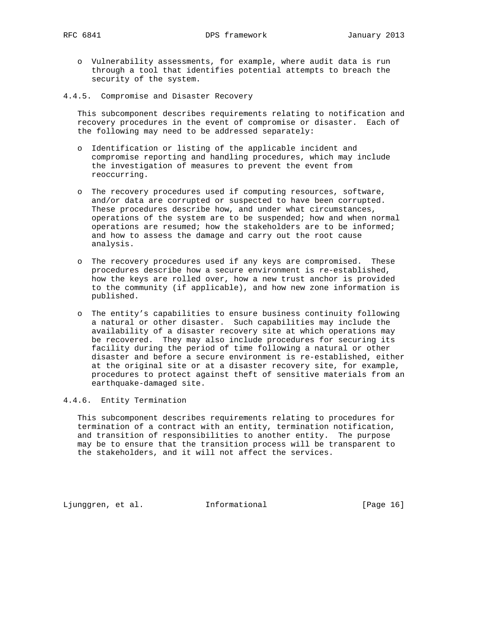- o Vulnerability assessments, for example, where audit data is run through a tool that identifies potential attempts to breach the security of the system.
- 4.4.5. Compromise and Disaster Recovery

 This subcomponent describes requirements relating to notification and recovery procedures in the event of compromise or disaster. Each of the following may need to be addressed separately:

- o Identification or listing of the applicable incident and compromise reporting and handling procedures, which may include the investigation of measures to prevent the event from reoccurring.
- o The recovery procedures used if computing resources, software, and/or data are corrupted or suspected to have been corrupted. These procedures describe how, and under what circumstances, operations of the system are to be suspended; how and when normal operations are resumed; how the stakeholders are to be informed; and how to assess the damage and carry out the root cause analysis.
- o The recovery procedures used if any keys are compromised. These procedures describe how a secure environment is re-established, how the keys are rolled over, how a new trust anchor is provided to the community (if applicable), and how new zone information is published.
- o The entity's capabilities to ensure business continuity following a natural or other disaster. Such capabilities may include the availability of a disaster recovery site at which operations may be recovered. They may also include procedures for securing its facility during the period of time following a natural or other disaster and before a secure environment is re-established, either at the original site or at a disaster recovery site, for example, procedures to protect against theft of sensitive materials from an earthquake-damaged site.

### 4.4.6. Entity Termination

 This subcomponent describes requirements relating to procedures for termination of a contract with an entity, termination notification, and transition of responsibilities to another entity. The purpose may be to ensure that the transition process will be transparent to the stakeholders, and it will not affect the services.

Ljunggren, et al. 1nformational [Page 16]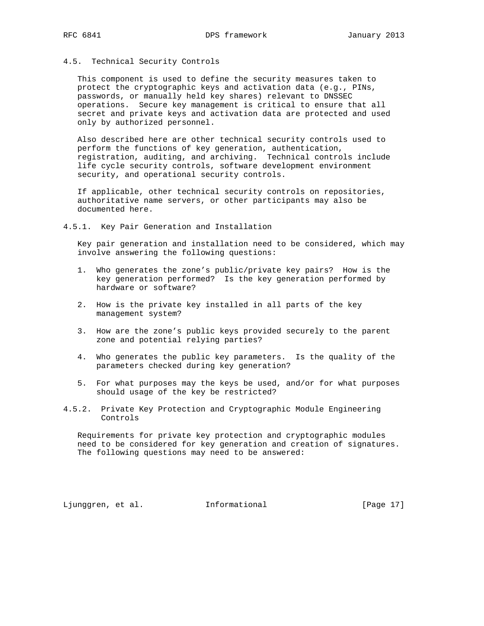## 4.5. Technical Security Controls

 This component is used to define the security measures taken to protect the cryptographic keys and activation data (e.g., PINs, passwords, or manually held key shares) relevant to DNSSEC operations. Secure key management is critical to ensure that all secret and private keys and activation data are protected and used only by authorized personnel.

 Also described here are other technical security controls used to perform the functions of key generation, authentication, registration, auditing, and archiving. Technical controls include life cycle security controls, software development environment security, and operational security controls.

 If applicable, other technical security controls on repositories, authoritative name servers, or other participants may also be documented here.

4.5.1. Key Pair Generation and Installation

 Key pair generation and installation need to be considered, which may involve answering the following questions:

- 1. Who generates the zone's public/private key pairs? How is the key generation performed? Is the key generation performed by hardware or software?
- 2. How is the private key installed in all parts of the key management system?
- 3. How are the zone's public keys provided securely to the parent zone and potential relying parties?
- 4. Who generates the public key parameters. Is the quality of the parameters checked during key generation?
- 5. For what purposes may the keys be used, and/or for what purposes should usage of the key be restricted?
- 4.5.2. Private Key Protection and Cryptographic Module Engineering Controls

 Requirements for private key protection and cryptographic modules need to be considered for key generation and creation of signatures. The following questions may need to be answered:

Ljunggren, et al. Informational [Page 17]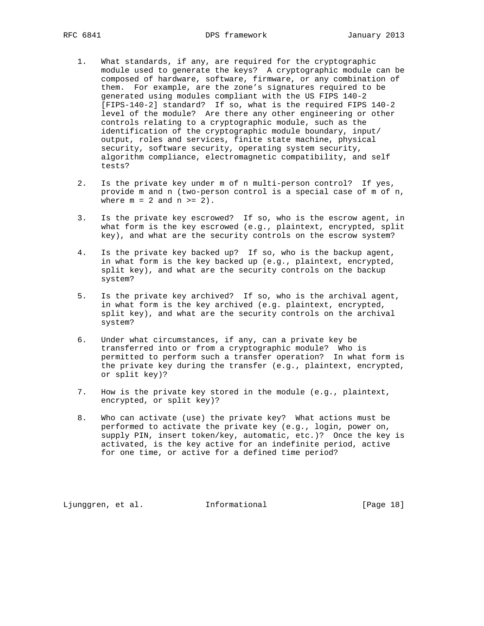- 1. What standards, if any, are required for the cryptographic module used to generate the keys? A cryptographic module can be composed of hardware, software, firmware, or any combination of them. For example, are the zone's signatures required to be generated using modules compliant with the US FIPS 140-2 [FIPS-140-2] standard? If so, what is the required FIPS 140-2 level of the module? Are there any other engineering or other controls relating to a cryptographic module, such as the identification of the cryptographic module boundary, input/ output, roles and services, finite state machine, physical security, software security, operating system security, algorithm compliance, electromagnetic compatibility, and self tests?
- 2. Is the private key under m of n multi-person control? If yes, provide m and n (two-person control is a special case of m of n, where  $m = 2$  and  $n \ge 2$ .
- 3. Is the private key escrowed? If so, who is the escrow agent, in what form is the key escrowed (e.g., plaintext, encrypted, split key), and what are the security controls on the escrow system?
- 4. Is the private key backed up? If so, who is the backup agent, in what form is the key backed up (e.g., plaintext, encrypted, split key), and what are the security controls on the backup system?
- 5. Is the private key archived? If so, who is the archival agent, in what form is the key archived (e.g. plaintext, encrypted, split key), and what are the security controls on the archival system?
- 6. Under what circumstances, if any, can a private key be transferred into or from a cryptographic module? Who is permitted to perform such a transfer operation? In what form is the private key during the transfer (e.g., plaintext, encrypted, or split key)?
- 7. How is the private key stored in the module (e.g., plaintext, encrypted, or split key)?
- 8. Who can activate (use) the private key? What actions must be performed to activate the private key (e.g., login, power on, supply PIN, insert token/key, automatic, etc.)? Once the key is activated, is the key active for an indefinite period, active for one time, or active for a defined time period?

Ljunggren, et al. 1nformational [Page 18]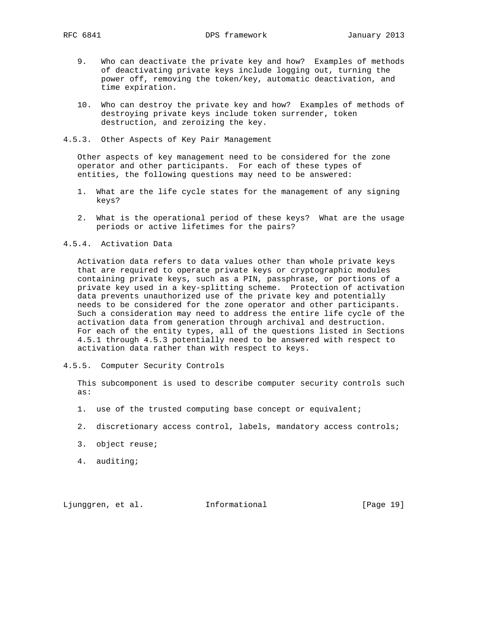- 9. Who can deactivate the private key and how? Examples of methods of deactivating private keys include logging out, turning the power off, removing the token/key, automatic deactivation, and time expiration.
- 10. Who can destroy the private key and how? Examples of methods of destroying private keys include token surrender, token destruction, and zeroizing the key.
- 4.5.3. Other Aspects of Key Pair Management

 Other aspects of key management need to be considered for the zone operator and other participants. For each of these types of entities, the following questions may need to be answered:

- 1. What are the life cycle states for the management of any signing keys?
- 2. What is the operational period of these keys? What are the usage periods or active lifetimes for the pairs?
- 4.5.4. Activation Data

 Activation data refers to data values other than whole private keys that are required to operate private keys or cryptographic modules containing private keys, such as a PIN, passphrase, or portions of a private key used in a key-splitting scheme. Protection of activation data prevents unauthorized use of the private key and potentially needs to be considered for the zone operator and other participants. Such a consideration may need to address the entire life cycle of the activation data from generation through archival and destruction. For each of the entity types, all of the questions listed in Sections 4.5.1 through 4.5.3 potentially need to be answered with respect to activation data rather than with respect to keys.

4.5.5. Computer Security Controls

 This subcomponent is used to describe computer security controls such as:

- 1. use of the trusted computing base concept or equivalent;
- 2. discretionary access control, labels, mandatory access controls;
- 3. object reuse;
- 4. auditing;

Ljunggren, et al. 1nformational [Page 19]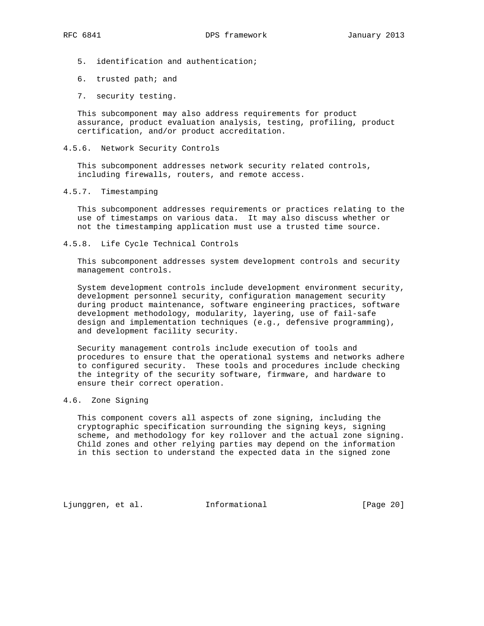- 5. identification and authentication;
- 6. trusted path; and
- 7. security testing.

 This subcomponent may also address requirements for product assurance, product evaluation analysis, testing, profiling, product certification, and/or product accreditation.

4.5.6. Network Security Controls

 This subcomponent addresses network security related controls, including firewalls, routers, and remote access.

4.5.7. Timestamping

 This subcomponent addresses requirements or practices relating to the use of timestamps on various data. It may also discuss whether or not the timestamping application must use a trusted time source.

4.5.8. Life Cycle Technical Controls

 This subcomponent addresses system development controls and security management controls.

 System development controls include development environment security, development personnel security, configuration management security during product maintenance, software engineering practices, software development methodology, modularity, layering, use of fail-safe design and implementation techniques (e.g., defensive programming), and development facility security.

 Security management controls include execution of tools and procedures to ensure that the operational systems and networks adhere to configured security. These tools and procedures include checking the integrity of the security software, firmware, and hardware to ensure their correct operation.

## 4.6. Zone Signing

 This component covers all aspects of zone signing, including the cryptographic specification surrounding the signing keys, signing scheme, and methodology for key rollover and the actual zone signing. Child zones and other relying parties may depend on the information in this section to understand the expected data in the signed zone

Ljunggren, et al. 1nformational 1. [Page 20]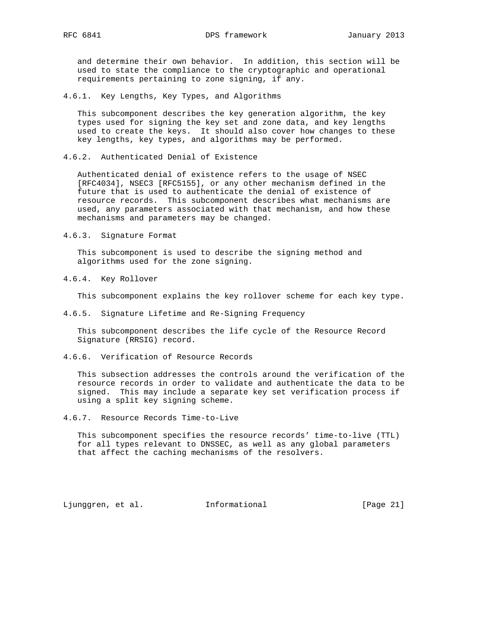and determine their own behavior. In addition, this section will be used to state the compliance to the cryptographic and operational requirements pertaining to zone signing, if any.

4.6.1. Key Lengths, Key Types, and Algorithms

 This subcomponent describes the key generation algorithm, the key types used for signing the key set and zone data, and key lengths used to create the keys. It should also cover how changes to these key lengths, key types, and algorithms may be performed.

4.6.2. Authenticated Denial of Existence

 Authenticated denial of existence refers to the usage of NSEC [RFC4034], NSEC3 [RFC5155], or any other mechanism defined in the future that is used to authenticate the denial of existence of resource records. This subcomponent describes what mechanisms are used, any parameters associated with that mechanism, and how these mechanisms and parameters may be changed.

4.6.3. Signature Format

 This subcomponent is used to describe the signing method and algorithms used for the zone signing.

4.6.4. Key Rollover

This subcomponent explains the key rollover scheme for each key type.

4.6.5. Signature Lifetime and Re-Signing Frequency

 This subcomponent describes the life cycle of the Resource Record Signature (RRSIG) record.

4.6.6. Verification of Resource Records

 This subsection addresses the controls around the verification of the resource records in order to validate and authenticate the data to be signed. This may include a separate key set verification process if using a split key signing scheme.

4.6.7. Resource Records Time-to-Live

 This subcomponent specifies the resource records' time-to-live (TTL) for all types relevant to DNSSEC, as well as any global parameters that affect the caching mechanisms of the resolvers.

Ljunggren, et al. 1nformational [Page 21]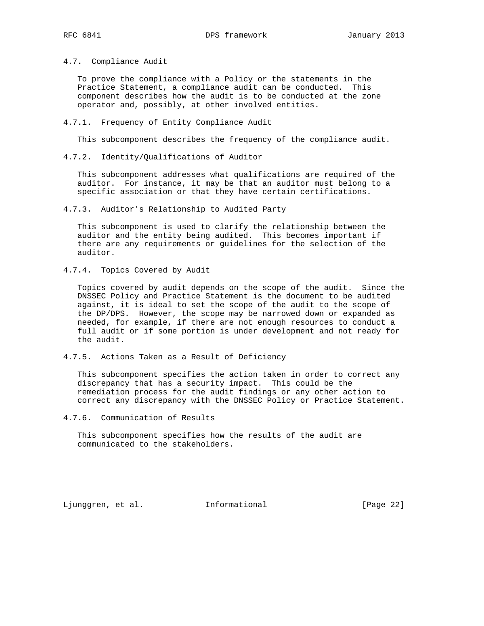4.7. Compliance Audit

 To prove the compliance with a Policy or the statements in the Practice Statement, a compliance audit can be conducted. This component describes how the audit is to be conducted at the zone operator and, possibly, at other involved entities.

4.7.1. Frequency of Entity Compliance Audit

This subcomponent describes the frequency of the compliance audit.

4.7.2. Identity/Qualifications of Auditor

 This subcomponent addresses what qualifications are required of the auditor. For instance, it may be that an auditor must belong to a specific association or that they have certain certifications.

4.7.3. Auditor's Relationship to Audited Party

 This subcomponent is used to clarify the relationship between the auditor and the entity being audited. This becomes important if there are any requirements or guidelines for the selection of the auditor.

4.7.4. Topics Covered by Audit

 Topics covered by audit depends on the scope of the audit. Since the DNSSEC Policy and Practice Statement is the document to be audited against, it is ideal to set the scope of the audit to the scope of the DP/DPS. However, the scope may be narrowed down or expanded as needed, for example, if there are not enough resources to conduct a full audit or if some portion is under development and not ready for the audit.

4.7.5. Actions Taken as a Result of Deficiency

 This subcomponent specifies the action taken in order to correct any discrepancy that has a security impact. This could be the remediation process for the audit findings or any other action to correct any discrepancy with the DNSSEC Policy or Practice Statement.

4.7.6. Communication of Results

 This subcomponent specifies how the results of the audit are communicated to the stakeholders.

Ljunggren, et al. 1nformational 1. [Page 22]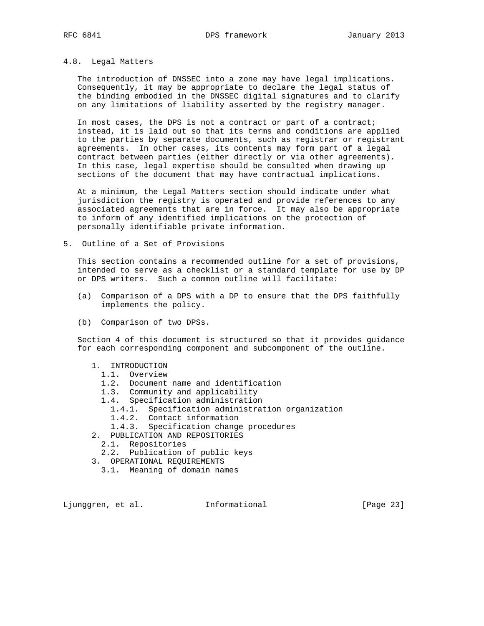# 4.8. Legal Matters

 The introduction of DNSSEC into a zone may have legal implications. Consequently, it may be appropriate to declare the legal status of the binding embodied in the DNSSEC digital signatures and to clarify on any limitations of liability asserted by the registry manager.

 In most cases, the DPS is not a contract or part of a contract; instead, it is laid out so that its terms and conditions are applied to the parties by separate documents, such as registrar or registrant agreements. In other cases, its contents may form part of a legal contract between parties (either directly or via other agreements). In this case, legal expertise should be consulted when drawing up sections of the document that may have contractual implications.

 At a minimum, the Legal Matters section should indicate under what jurisdiction the registry is operated and provide references to any associated agreements that are in force. It may also be appropriate to inform of any identified implications on the protection of personally identifiable private information.

5. Outline of a Set of Provisions

 This section contains a recommended outline for a set of provisions, intended to serve as a checklist or a standard template for use by DP or DPS writers. Such a common outline will facilitate:

- (a) Comparison of a DPS with a DP to ensure that the DPS faithfully implements the policy.
- (b) Comparison of two DPSs.

 Section 4 of this document is structured so that it provides guidance for each corresponding component and subcomponent of the outline.

- 1. INTRODUCTION
	- 1.1. Overview
	- 1.2. Document name and identification
	- 1.3. Community and applicability
	- 1.4. Specification administration
		- 1.4.1. Specification administration organization
		- 1.4.2. Contact information
		- 1.4.3. Specification change procedures
- 2. PUBLICATION AND REPOSITORIES
	- 2.1. Repositories
	- 2.2. Publication of public keys
- 3. OPERATIONAL REQUIREMENTS
	- 3.1. Meaning of domain names

Ljunggren, et al. 1nformational 1999 [Page 23]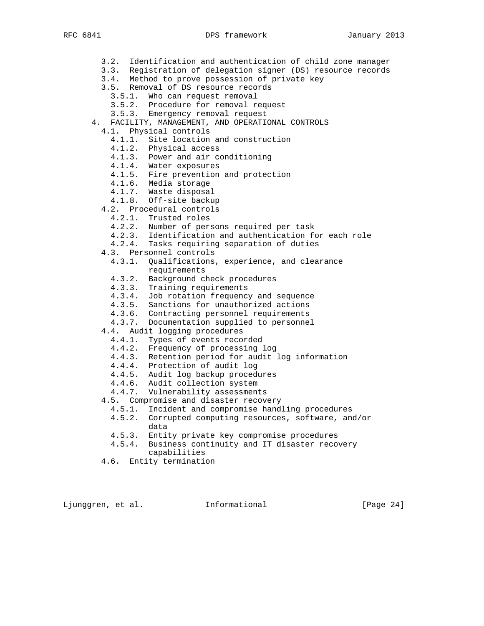- 3.2. Identification and authentication of child zone manager
- 3.3. Registration of delegation signer (DS) resource records
- 3.4. Method to prove possession of private key
	- 3.5. Removal of DS resource records
- 3.5.1. Who can request removal
- 3.5.2. Procedure for removal request
	- 3.5.3. Emergency removal request
	- 4. FACILITY, MANAGEMENT, AND OPERATIONAL CONTROLS
	- 4.1. Physical controls
		- 4.1.1. Site location and construction
		- 4.1.2. Physical access
		- 4.1.3. Power and air conditioning
		- 4.1.4. Water exposures
- 4.1.5. Fire prevention and protection
- 4.1.6. Media storage
- 4.1.7. Waste disposal
	- 4.1.8. Off-site backup
	- 4.2. Procedural controls
		- 4.2.1. Trusted roles
		- 4.2.2. Number of persons required per task
		- 4.2.3. Identification and authentication for each role
		- 4.2.4. Tasks requiring separation of duties
	- 4.3. Personnel controls
		- 4.3.1. Qualifications, experience, and clearance requirements
- 4.3.2. Background check procedures
- 4.3.3. Training requirements
- 4.3.4. Job rotation frequency and sequence
- 4.3.5. Sanctions for unauthorized actions
- 4.3.6. Contracting personnel requirements
- 4.3.7. Documentation supplied to personnel
	- 4.4. Audit logging procedures
		- 4.4.1. Types of events recorded
		- 4.4.2. Frequency of processing log
		- 4.4.3. Retention period for audit log information
		- 4.4.4. Protection of audit log
		- 4.4.5. Audit log backup procedures
- 4.4.6. Audit collection system
- 4.4.7. Vulnerability assessments
	- 4.5. Compromise and disaster recovery
		- 4.5.1. Incident and compromise handling procedures
		- 4.5.2. Corrupted computing resources, software, and/or data
		- 4.5.3. Entity private key compromise procedures
		- 4.5.4. Business continuity and IT disaster recovery capabilities
	- 4.6. Entity termination

Ljunggren, et al. 1nformational 1. [Page 24]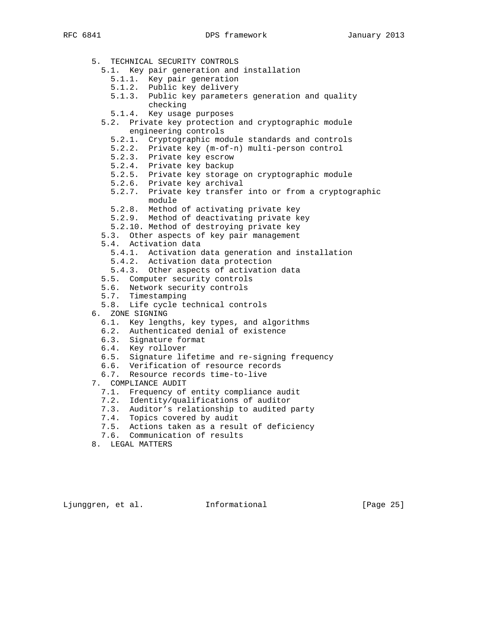5. TECHNICAL SECURITY CONTROLS 5.1. Key pair generation and installation 5.1.1. Key pair generation 5.1.2. Public key delivery 5.1.3. Public key parameters generation and quality checking 5.1.4. Key usage purposes 5.2. Private key protection and cryptographic module engineering controls 5.2.1. Cryptographic module standards and controls 5.2.2. Private key (m-of-n) multi-person control 5.2.3. Private key escrow 5.2.4. Private key backup 5.2.5. Private key storage on cryptographic module 5.2.6. Private key archival 5.2.7. Private key transfer into or from a cryptographic module 5.2.8. Method of activating private key 5.2.9. Method of deactivating private key 5.2.10. Method of destroying private key 5.3. Other aspects of key pair management 5.4. Activation data 5.4.1. Activation data generation and installation 5.4.2. Activation data protection 5.4.3. Other aspects of activation data 5.5. Computer security controls 5.6. Network security controls 5.7. Timestamping 5.8. Life cycle technical controls 6. ZONE SIGNING 6.1. Key lengths, key types, and algorithms 6.2. Authenticated denial of existence 6.3. Signature format 6.4. Key rollover 6.5. Signature lifetime and re-signing frequency 6.6. Verification of resource records 6.7. Resource records time-to-live 7. COMPLIANCE AUDIT 7.1. Frequency of entity compliance audit 7.2. Identity/qualifications of auditor 7.3. Auditor's relationship to audited party 7.4. Topics covered by audit 7.5. Actions taken as a result of deficiency

7.6. Communication of results

8. LEGAL MATTERS

Ljunggren, et al. Informational [Page 25]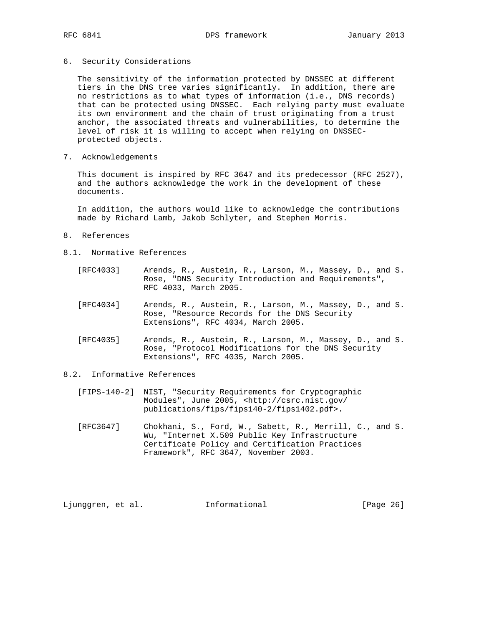6. Security Considerations

 The sensitivity of the information protected by DNSSEC at different tiers in the DNS tree varies significantly. In addition, there are no restrictions as to what types of information (i.e., DNS records) that can be protected using DNSSEC. Each relying party must evaluate its own environment and the chain of trust originating from a trust anchor, the associated threats and vulnerabilities, to determine the level of risk it is willing to accept when relying on DNSSEC protected objects.

7. Acknowledgements

 This document is inspired by RFC 3647 and its predecessor (RFC 2527), and the authors acknowledge the work in the development of these documents.

 In addition, the authors would like to acknowledge the contributions made by Richard Lamb, Jakob Schlyter, and Stephen Morris.

- 8. References
- 8.1. Normative References
	- [RFC4033] Arends, R., Austein, R., Larson, M., Massey, D., and S. Rose, "DNS Security Introduction and Requirements", RFC 4033, March 2005.
	- [RFC4034] Arends, R., Austein, R., Larson, M., Massey, D., and S. Rose, "Resource Records for the DNS Security Extensions", RFC 4034, March 2005.
	- [RFC4035] Arends, R., Austein, R., Larson, M., Massey, D., and S. Rose, "Protocol Modifications for the DNS Security Extensions", RFC 4035, March 2005.
- 8.2. Informative References
	- [FIPS-140-2] NIST, "Security Requirements for Cryptographic Modules", June 2005, <http://csrc.nist.gov/ publications/fips/fips140-2/fips1402.pdf>.
	- [RFC3647] Chokhani, S., Ford, W., Sabett, R., Merrill, C., and S. Wu, "Internet X.509 Public Key Infrastructure Certificate Policy and Certification Practices Framework", RFC 3647, November 2003.

Ljunggren, et al. Informational [Page 26]